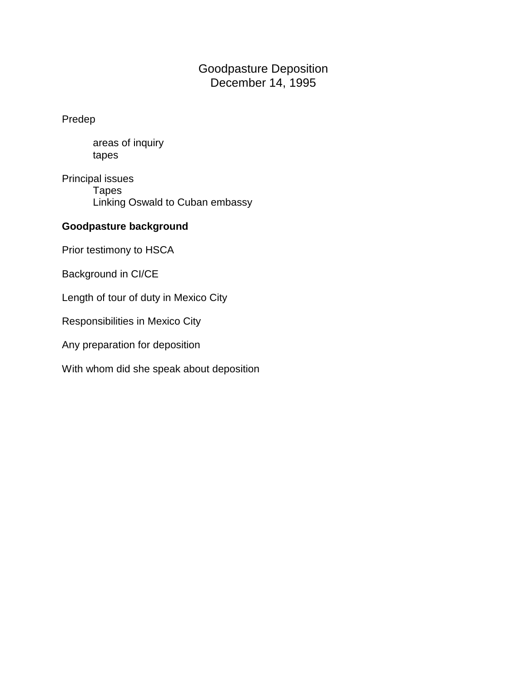# Goodpasture Deposition December 14, 1995

Predep

areas of inquiry tapes

Principal issues **Tapes** Linking Oswald to Cuban embassy

### **Goodpasture background**

Prior testimony to HSCA

Background in CI/CE

Length of tour of duty in Mexico City

Responsibilities in Mexico City

Any preparation for deposition

With whom did she speak about deposition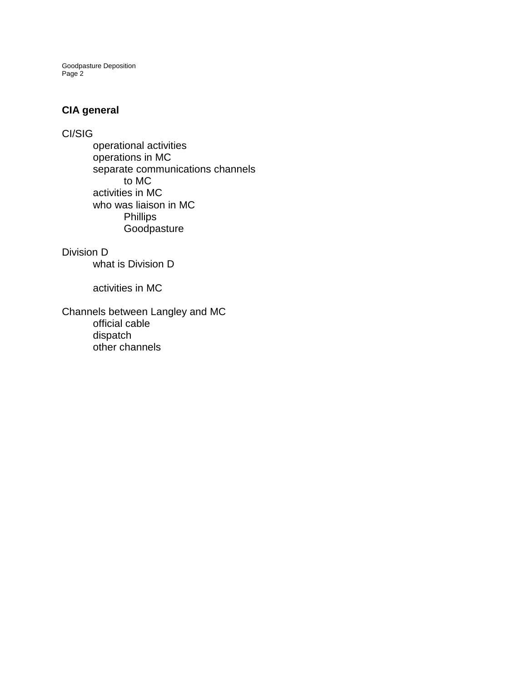# **CIA general**

### CI/SIG

operational activities operations in MC separate communications channels to MC activities in MC who was liaison in MC Phillips **Goodpasture** 

#### Division D

what is Division D

#### activities in MC

Channels between Langley and MC official cable dispatch other channels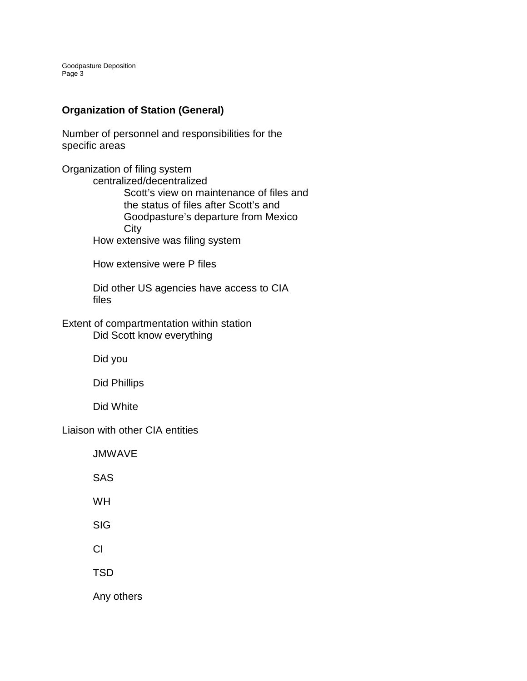# **Organization of Station (General)**

Number of personnel and responsibilities for the specific areas

Organization of filing system centralized/decentralized Scott's view on maintenance of files and the status of files after Scott's and Goodpasture's departure from Mexico **City** How extensive was filing system

How extensive were P files

Did other US agencies have access to CIA files

Extent of compartmentation within station Did Scott know everything

Did you

Did Phillips

Did White

Liaison with other CIA entities

JMWAVE

SAS

WH

SIG

CI

TSD

Any others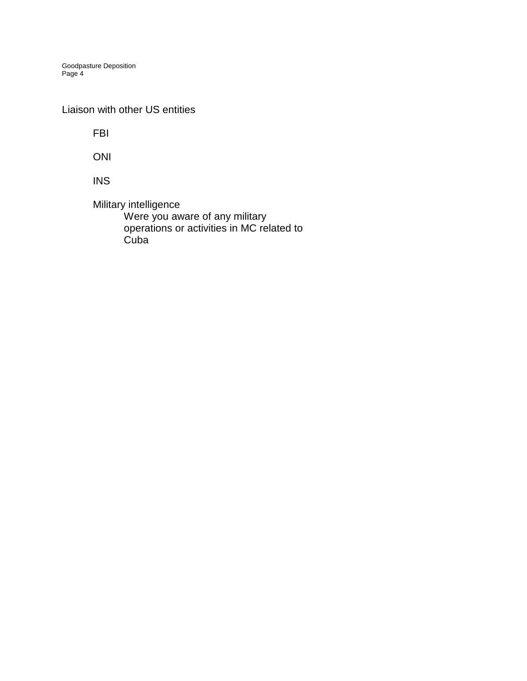Liaison with other US entities

FBI

ONI

INS

Military intelligence Were you aware of any military operations or activities in MC related to **Cuba**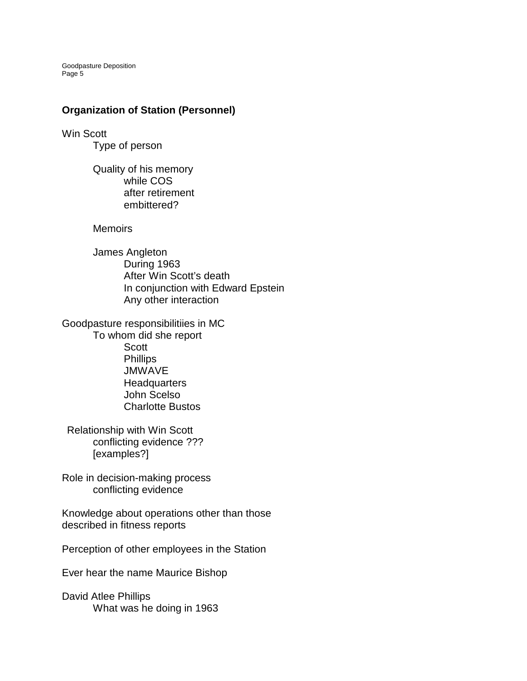Goodpasture Deposition Page<sup>5</sup>

### **Organization of Station (Personnel)**

Win Scott Type of person

> Quality of his memory while COS after retirement embittered?

**Memoirs** 

James Angleton During 1963 After Win Scott's death In conjunction with Edward Epstein Any other interaction

Goodpasture responsibilitiies in MC To whom did she report Scott Phillips JMWAVE **Headquarters** John Scelso Charlotte Bustos

Relationship with Win Scott conflicting evidence ??? [examples?]

Role in decision-making process conflicting evidence

Knowledge about operations other than those described in fitness reports

Perception of other employees in the Station

Ever hear the name Maurice Bishop

David Atlee Phillips What was he doing in 1963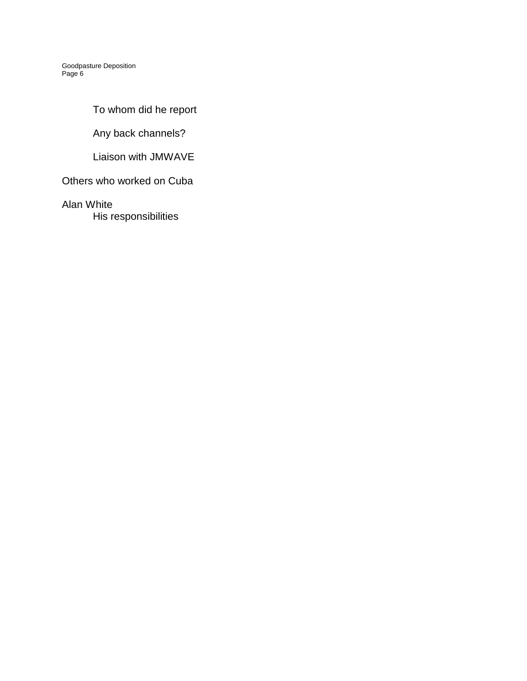To whom did he report

Any back channels?

Liaison with JMWAVE

Others who worked on Cuba

Alan White

His responsibilities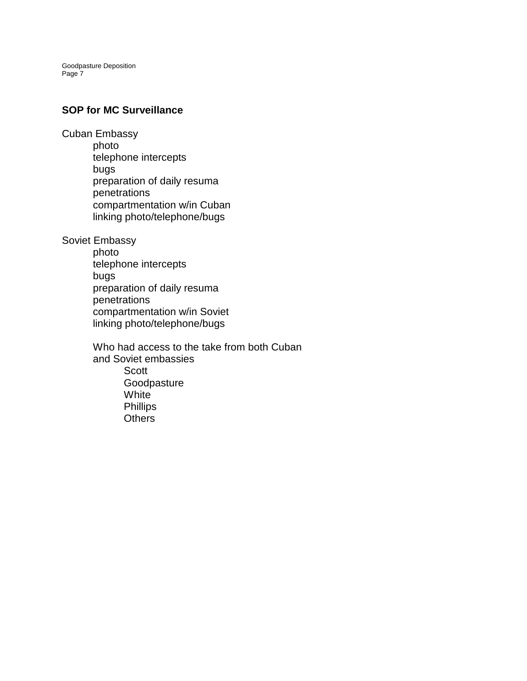#### **SOP for MC Surveillance**

Cuban Embassy

photo telephone intercepts bugs preparation of daily resuma penetrations compartmentation w/in Cuban linking photo/telephone/bugs

Soviet Embassy

photo telephone intercepts bugs preparation of daily resuma penetrations compartmentation w/in Soviet linking photo/telephone/bugs

Who had access to the take from both Cuban and Soviet embassies Scott Goodpasture **White** Phillips **Others**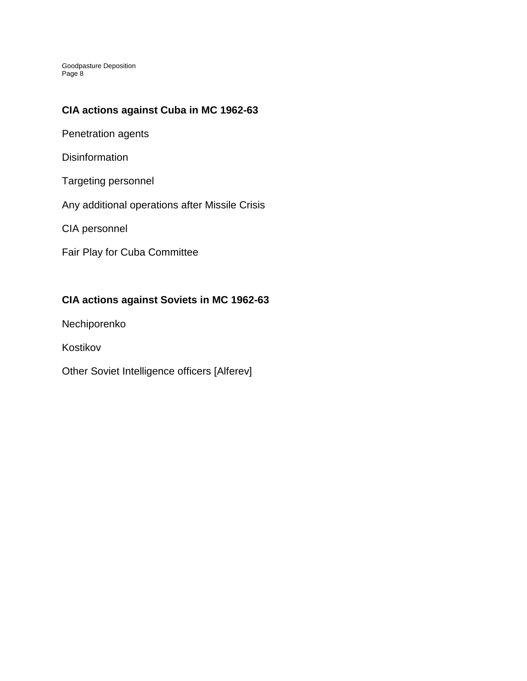### **CIA actions against Cuba in MC 1962-63**

Penetration agents

**Disinformation** 

Targeting personnel

Any additional operations after Missile Crisis

CIA personnel

Fair Play for Cuba Committee

# **CIA actions against Soviets in MC 1962-63**

Nechiporenko

Kostikov

Other Soviet Intelligence officers [Alferev]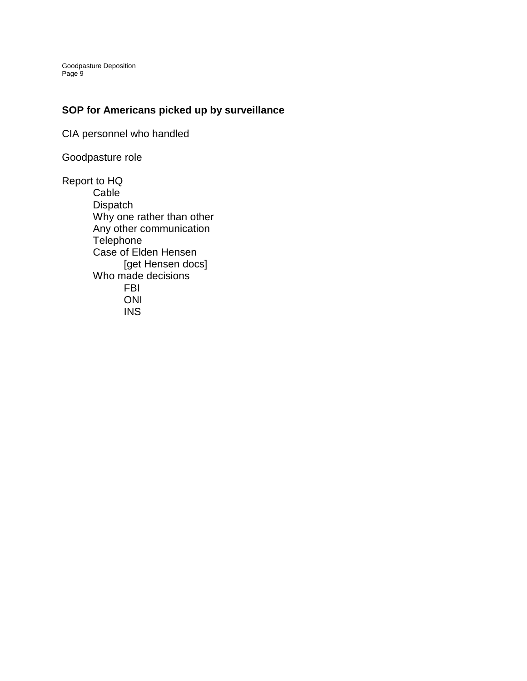### **SOP for Americans picked up by surveillance**

CIA personnel who handled

Goodpasture role

Report to HQ Cable **Dispatch** Why one rather than other Any other communication **Telephone** Case of Elden Hensen [get Hensen docs] Who made decisions FBI ONI INS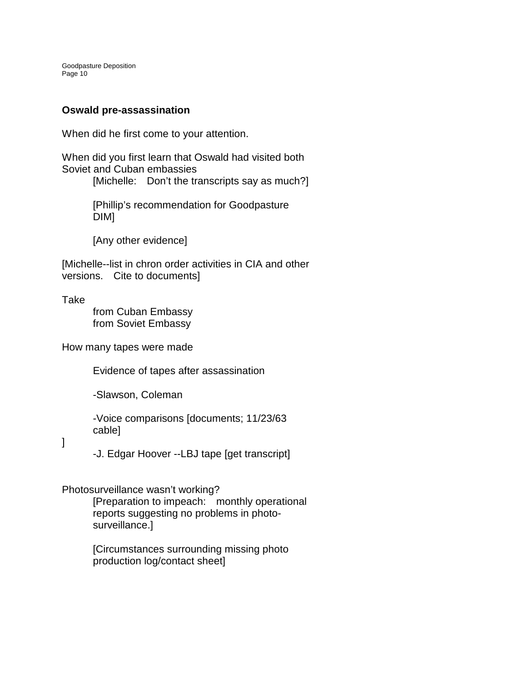### **Oswald pre-assassination**

When did he first come to your attention.

When did you first learn that Oswald had visited both Soviet and Cuban embassies

[Michelle: Don't the transcripts say as much?]

[Phillip's recommendation for Goodpasture DIM]

[Any other evidence]

[Michelle--list in chron order activities in CIA and other versions. Cite to documents]

Take

from Cuban Embassy from Soviet Embassy

How many tapes were made

Evidence of tapes after assassination

-Slawson, Coleman

-Voice comparisons [documents; 11/23/63 cable]

]

-J. Edgar Hoover --LBJ tape [get transcript]

### Photosurveillance wasn't working?

[Preparation to impeach: monthly operational reports suggesting no problems in photosurveillance.]

[Circumstances surrounding missing photo production log/contact sheet]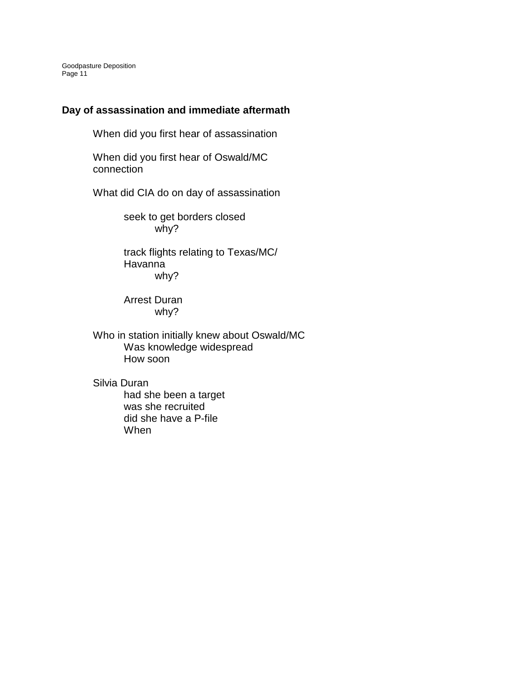### **Day of assassination and immediate aftermath**

When did you first hear of assassination

When did you first hear of Oswald/MC connection

What did CIA do on day of assassination

seek to get borders closed why?

track flights relating to Texas/MC/ Havanna why?

Arrest Duran why?

Who in station initially knew about Oswald/MC Was knowledge widespread How soon

Silvia Duran

had she been a target was she recruited did she have a P-file When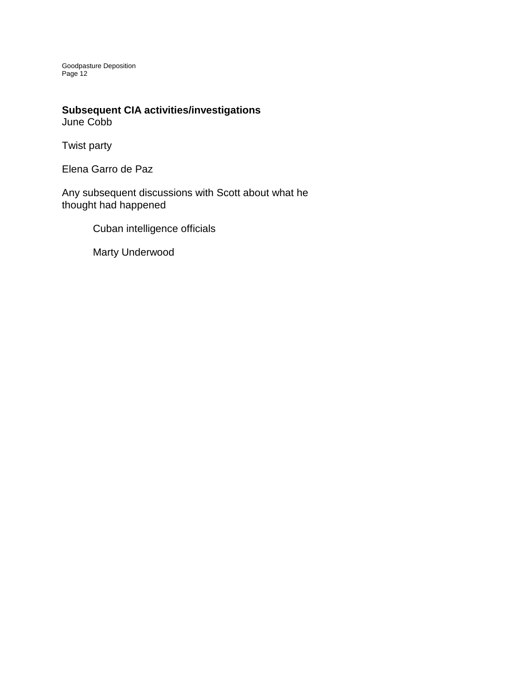# **Subsequent CIA activities/investigations**

June Cobb

Twist party

Elena Garro de Paz

Any subsequent discussions with Scott about what he thought had happened

Cuban intelligence officials

Marty Underwood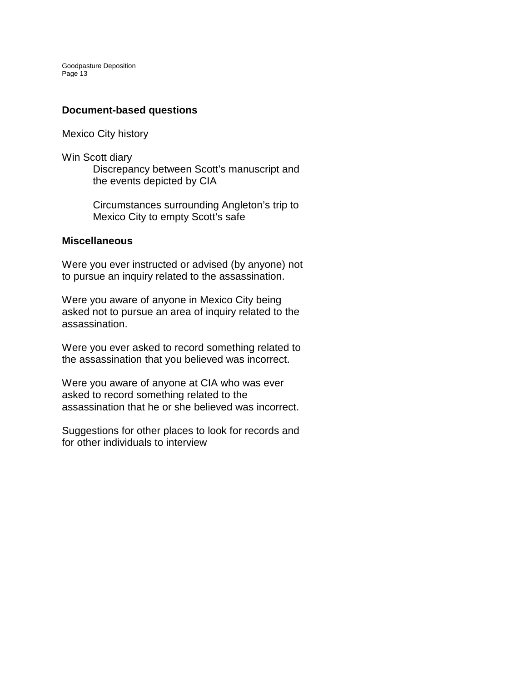#### **Document-based questions**

Mexico City history

Win Scott diary

Discrepancy between Scott's manuscript and the events depicted by CIA

Circumstances surrounding Angleton's trip to Mexico City to empty Scott's safe

#### **Miscellaneous**

Were you ever instructed or advised (by anyone) not to pursue an inquiry related to the assassination.

Were you aware of anyone in Mexico City being asked not to pursue an area of inquiry related to the assassination.

Were you ever asked to record something related to the assassination that you believed was incorrect.

Were you aware of anyone at CIA who was ever asked to record something related to the assassination that he or she believed was incorrect.

Suggestions for other places to look for records and for other individuals to interview